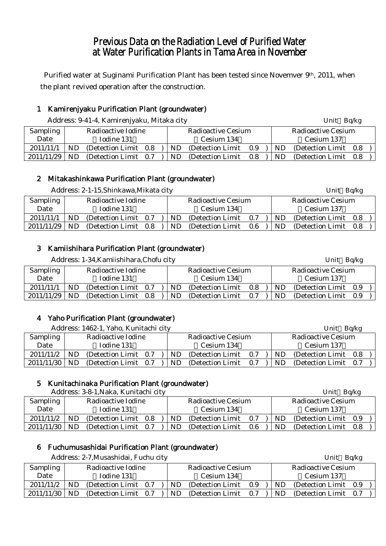# Previous Data on the Radiation Level of Purified Water at Water Purification Plants in Tama Area in November

Purified water at Suginami Purification Plant has been tested since Novemver 9<sup>th</sup>, 2011, when the plant revived operation after the construction.

# 1 Kamirenjyaku Purification Plant (groundwater)

| Address: 9-41-4, Kamirenjyaku, Mitaka city |  | Unit Bq/kg |
|--------------------------------------------|--|------------|
|                                            |  |            |

| <b>Sampling</b> | Radioactive Iodine |                       |  |     | Radioactive Cesium    |  | Radioactive Cesium |                       |  |  |
|-----------------|--------------------|-----------------------|--|-----|-----------------------|--|--------------------|-----------------------|--|--|
| Date            |                    | Iodine 131            |  |     | Cesium 134            |  |                    | Cesium 137            |  |  |
| 2011/11/1       | <b>ND</b>          | (Detection Limit 0.8) |  | ND. | (Detection Limit 0.9) |  | ND.                | (Detection Limit 0.8) |  |  |
| $2011/11/29$ ND |                    | (Detection Limit 0.7) |  | ND. | (Detection Limit 0.8) |  | ND.                | (Detection Limit 0.8) |  |  |

# 2 Mitakashinkawa Purification Plant (groundwater)

| Address: 2-1-15, Shinkawa, Mikata city |  |  |
|----------------------------------------|--|--|
|                                        |  |  |

| <b>Sampling</b> |    | Radioactive Iodine    | <b>Radioactive Cesium</b> |                   |     |           | Radioactive Cesium    |  |  |  |
|-----------------|----|-----------------------|---------------------------|-------------------|-----|-----------|-----------------------|--|--|--|
| Date            |    | Iodine 131            |                           | Cesium 134        |     |           | Cesium 137            |  |  |  |
| 2011/11/1       | ND | (Detection Limit 0.7) | ND.                       | (Detection Limit) | 0.7 | ND        | (Detection Limit 0.8) |  |  |  |
| 2011/11/29      | ND | (Detection Limit 0.8) | ND.                       | (Detection Limit) | 0.6 | <b>ND</b> | (Detection Limit 0.8) |  |  |  |

Unit Bq/kg

# 3 Kamiishihara Purification Plant (groundwater)

|            |                    | Address: 1-34, Kamiishihara, Chofu city |         |  |                           |                   |     |           | Unit Bq/kg                |  |  |  |
|------------|--------------------|-----------------------------------------|---------|--|---------------------------|-------------------|-----|-----------|---------------------------|--|--|--|
| Sampling   | Radioactive Iodine |                                         |         |  | <b>Radioactive Cesium</b> |                   |     |           | <b>Radioactive Cesium</b> |  |  |  |
| Date       | Iodine 131         |                                         |         |  | Cesium 134                |                   |     |           | Cesium 137                |  |  |  |
| 2011/11/1  | ND                 | (Detection Limit)                       | 0.7     |  | ND.                       | (Detection Limit) | 0.8 | <b>ND</b> | (Detection Limit 0.9)     |  |  |  |
| 2011/11/29 | ND                 | (Detection Limit)                       | $0.8\,$ |  | ND                        | (Detection Limit) | 0.7 | ND        | (Detection Limit 0.9)     |  |  |  |

# 4 Yaho Purification Plant (groundwater)

|            |                    | Address: 1462-1, Yaho, Kunitachi city |  |     |                    |     |     | Unit Bq/kg            |  |  |  |
|------------|--------------------|---------------------------------------|--|-----|--------------------|-----|-----|-----------------------|--|--|--|
| Sampling   | Radioactive Iodine |                                       |  |     | Radioactive Cesium |     |     | Radioactive Cesium    |  |  |  |
| Date       | Iodine 131         |                                       |  |     | Cesium 134         |     |     | Cesium 137            |  |  |  |
| 2011/11/2  | ND.                | (Detection Limit 0.7)                 |  | ND. | (Detection Limit)  | 0.7 | ND. | (Detection Limit 0.8) |  |  |  |
| 2011/11/30 | ND.                | (Detection Limit 0.7)                 |  | ND  | (Detection Limit)  | 0.7 | ND. | (Detection Limit 0.7) |  |  |  |

# 5 Kunitachinaka Purification Plant (groundwater)

| Address: 3-8-1, Naka, Kunitachi city |                    |                       |  |  |                           |                   |     |                           |     | Unit Bq/kg            |  |  |
|--------------------------------------|--------------------|-----------------------|--|--|---------------------------|-------------------|-----|---------------------------|-----|-----------------------|--|--|
| Sampling                             | Radioactive Iodine |                       |  |  | <b>Radioactive Cesium</b> |                   |     | <b>Radioactive Cesium</b> |     |                       |  |  |
| Date                                 |                    | Iodine 131            |  |  |                           | Cesium 134        |     |                           |     | Cesium 137            |  |  |
| 2011/11/2                            | ND                 | (Detection Limit 0.8) |  |  | ND.                       | (Detection Limit) | 0.7 |                           | ND. | (Detection Limit 0.9) |  |  |
| 2011/11/30                           | ND                 | (Detection Limit 0.7) |  |  | ND.                       | (Detection Limit) | 0.6 |                           | ND  | (Detection Limit 0.8) |  |  |

# 6 Fuchumusashidai Purification Plant (groundwater)

Address: 2-7,Musashidai, Fuchu city Unit Bq/kg

|                 |     | $A$ uurt $33. 2-7,$ iviusa $31110a1, 1$ utini tity |                    |                       |  |                           |     | $UIIIU$ Dyng          |  |  |
|-----------------|-----|----------------------------------------------------|--------------------|-----------------------|--|---------------------------|-----|-----------------------|--|--|
| Sampling        |     | Radioactive Iodine                                 | Radioactive Cesium |                       |  | <b>Radioactive Cesium</b> |     |                       |  |  |
| Date            |     | Iodine 131                                         |                    | Cesium 134            |  |                           |     | Cesium 137            |  |  |
| 2011/11/2       | ND. | (Detection Limit 0.7)                              | ND.                | (Detection Limit 0.9) |  |                           | ND. | (Detection Limit 0.9) |  |  |
| $2011/11/30$ ND |     | (Detection Limit 0.7)                              | ND                 | (Detection Limit 0.7) |  |                           | ND. | (Detection Limit) 0.7 |  |  |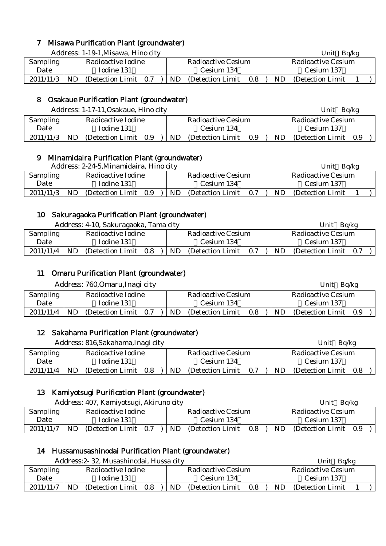# 7 Misawa Purification Plant (groundwater)

Address: 1-19-1, Misawa, Hino city Unit Bq/kg

| Sampling  | Radioactive Iodine |                   |     |    | Radioactive Cesium | Radioactive Cesium |           |                   |  |  |  |  |
|-----------|--------------------|-------------------|-----|----|--------------------|--------------------|-----------|-------------------|--|--|--|--|
| Date      |                    | Iodine 131        |     |    | Cesium 134         |                    |           | Cesium 137        |  |  |  |  |
| 2011/11/3 | <b>ND</b>          | (Detection Limit) | 0.7 | ND | (Detection Limit)  | 0.8                | <b>ND</b> | (Detection Limit) |  |  |  |  |

# 8 Osakaue Purification Plant (groundwater)

|           |            | Address: 1-17-11, Osakaue, Hino city |     |     |                    | Unit Bq/kg                |     |                       |  |  |
|-----------|------------|--------------------------------------|-----|-----|--------------------|---------------------------|-----|-----------------------|--|--|
| Sampling  |            | Radioactive Iodine                   |     |     | Radioactive Cesium | <b>Radioactive Cesium</b> |     |                       |  |  |
| Date      | Iodine 131 |                                      |     |     | Cesium 134         | Cesium 137                |     |                       |  |  |
| 2011/11/3 | ND.        | (Detection Limit)                    | 0.9 | ND. | (Detection Limit)  | $0.9\,$                   | ND. | (Detection Limit 0.9) |  |  |

# 9 Minamidaira Purification Plant (groundwater)

Address: 2-24-5. Minamidaira, Hino city Unit Bq/kg

|           |                    | $\frac{1}{2}$ . Note that we have the contribution of $\frac{1}{2}$ |     |  |                    |                   | $C_{\text{HIC}}$ Dulle |                    |                   |  |  |
|-----------|--------------------|---------------------------------------------------------------------|-----|--|--------------------|-------------------|------------------------|--------------------|-------------------|--|--|
| Sampling  | Radioactive Iodine |                                                                     |     |  | Radioactive Cesium |                   |                        | Radioactive Cesium |                   |  |  |
| Date      | Iodine 131         |                                                                     |     |  | Cesium 134         |                   |                        |                    | Cesium 137        |  |  |
| 2011/11/3 | ND                 | (Detection Limit)                                                   | 0.9 |  | ND.                | (Detection Limit) | 0.7                    | <b>ND</b>          | (Detection Limit) |  |  |

# 10 Sakuragaoka Purification Plant (groundwater)

Address: 4-10, Sakuragaoka, Tama city Unit Bq/kg

|                 |            | <i>T</i> Rudi Coo, T To, Dunuruguona, Tunia city |     |            |                    |     | ິ<br>. |                    |     |  |  |
|-----------------|------------|--------------------------------------------------|-----|------------|--------------------|-----|--------|--------------------|-----|--|--|
| <b>Sampling</b> |            | Radioactive Iodine                               |     |            | Radioactive Cesium |     |        | Radioactive Cesium |     |  |  |
| Date            | Iodine 131 |                                                  |     | Cesium 134 |                    |     |        | Cesium 137         |     |  |  |
| 2011/11/4       | ND         | (Detection Limit)                                | 0.8 | ND         | (Detection Limit)  | 0.7 | ND.    | (Detection Limit)  | 0.7 |  |  |
|                 |            |                                                  |     |            |                    |     |        |                    |     |  |  |

# 11 Omaru Purification Plant (groundwater)

|           |            | Address: 760, Omaru, Inagi city |     |     |                    |     |    | Unit Bq/kg         |     |  |
|-----------|------------|---------------------------------|-----|-----|--------------------|-----|----|--------------------|-----|--|
| Sampling  |            | Radioactive Iodine              |     |     | Radioactive Cesium |     |    | Radioactive Cesium |     |  |
| Date      | Iodine 131 |                                 |     |     | Cesium 134         |     |    | Cesium 137         |     |  |
| 2011/11/4 | ND         | (Detection Limit)               | 0.7 | ND. | (Detection Limit)  | 0.8 | ND | (Detection Limit)  | 0.9 |  |

# 12 Sakahama Purification Plant (groundwater)

Address: 816, Sakahama, Inagi city Unit Bq/kg Sampling Date Radioactive Iodine Iodine 131 Radioactive Cesium Cesium 134 Radioactive Cesium Cesium 137 2011/11/4 | ND (Detection Limit 0.8 ) | ND (Detection Limit 0.7 ) | ND (Detection Limit 0.8 )

# 13 Kamiyotsugi Purification Plant (groundwater)

|           | Address: 407, Kamiyotsugi, Akiruno city<br>Radioactive Iodine |                       |  |                    |                   |     |     | Bq/kg<br>Unit         |  |
|-----------|---------------------------------------------------------------|-----------------------|--|--------------------|-------------------|-----|-----|-----------------------|--|
| Sampling  |                                                               |                       |  | Radioactive Cesium |                   |     |     | Radioactive Cesium    |  |
| Date      | Iodine 131                                                    |                       |  |                    | Cesium 134        |     |     | Cesium 137            |  |
| 2011/11/7 | ND                                                            | (Detection Limit 0.7) |  | ND.                | (Detection Limit) | 0.8 | ND. | (Detection Limit 0.9) |  |

# 14 Hussamusashinodai Purification Plant (groundwater)

|           |                                | Address: 2-32, Musashinodai, Hussa city |  |            |     |                    |     |    | Ba/kg<br>Unit      |  |
|-----------|--------------------------------|-----------------------------------------|--|------------|-----|--------------------|-----|----|--------------------|--|
| Sampling  | Radioactive Iodine             |                                         |  |            |     | Radioactive Cesium |     |    | Radioactive Cesium |  |
| Date      | Iodine 131                     |                                         |  | Cesium 134 |     |                    |     |    | Cesium 137         |  |
| 2011/11/7 | ND<br>0.8<br>(Detection Limit) |                                         |  |            | ND. | (Detection Limit)  | 0.8 | ND | (Detection Limit)  |  |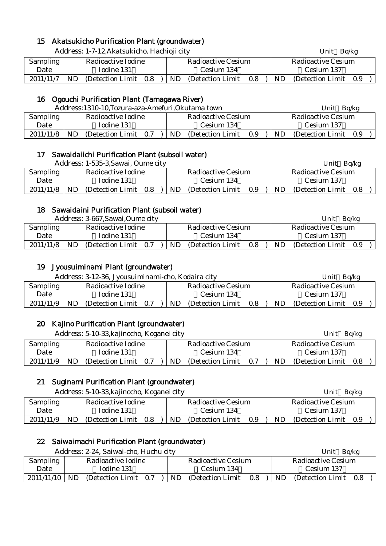# 15 Akatsukicho Purification Plant (groundwater)

|           |                    | Address: 1-7-12, Akatsukicho, Hachioji city |  |     |                           |         |  |     | Unit Bq/kg                |  |
|-----------|--------------------|---------------------------------------------|--|-----|---------------------------|---------|--|-----|---------------------------|--|
| Sampling  | Radioactive Iodine |                                             |  |     | <b>Radioactive Cesium</b> |         |  |     | <b>Radioactive Cesium</b> |  |
| Date      |                    | Iodine 131                                  |  |     | Cesium 134                |         |  |     | Cesium 137                |  |
| 2011/11/7 | ND.                | (Detection Limit 0.8)                       |  | ND. | (Detection Limit)         | $0.8\,$ |  | ND. | (Detection Limit 0.9)     |  |

# 16 Ogouchi Purification Plant (Tamagawa River)

|           |                    | Address:1310-10, Tozura-aza-Amefuri, Okutama town |     |            | Unit               | Bq/kg |     |                       |  |  |
|-----------|--------------------|---------------------------------------------------|-----|------------|--------------------|-------|-----|-----------------------|--|--|
| Sampling  | Radioactive Iodine |                                                   |     |            | Radioactive Cesium |       |     | Radioactive Cesium    |  |  |
| Date      | Iodine 131         |                                                   |     | Cesium 134 |                    |       |     | Cesium 137            |  |  |
| 2011/11/8 | ND                 | (Detection Limit)                                 | 0.7 | ND         | (Detection Limit)  | 0.9   | ND. | (Detection Limit 0.9) |  |  |

#### 17 Sawaidaiichi Purification Plant (subsoil water)

|           |                    | Address: 1-535-3, Sawai, Oume city |                    |    |                   |     |                    | Unit              | Bq/kg |  |
|-----------|--------------------|------------------------------------|--------------------|----|-------------------|-----|--------------------|-------------------|-------|--|
| Sampling  | Radioactive Iodine |                                    | Radioactive Cesium |    |                   |     | Radioactive Cesium |                   |       |  |
| Date      | Iodine 131         |                                    |                    |    | Cesium 134        |     |                    | Cesium 137        |       |  |
| 2011/11/8 | ND                 | (Detection Limit)                  | 0.8                | ND | (Detection Limit) | 0.9 | ND.                | (Detection Limit) | 0.8   |  |

#### 18 Sawaidaini Purification Plant (subsoil water)

|           | Address: 3-667, Sawai, Oume city<br>Radioactive Iodine |                   |     |                    |                   |     |                    | Unit              | Ba/kg |  |
|-----------|--------------------------------------------------------|-------------------|-----|--------------------|-------------------|-----|--------------------|-------------------|-------|--|
| Sampling  |                                                        |                   |     | Radioactive Cesium |                   |     | Radioactive Cesium |                   |       |  |
| Date      | Iodine 131                                             |                   |     | Cesium 134         |                   |     |                    | Cesium 137        |       |  |
| 2011/11/8 | ND                                                     | (Detection Limit) | 0.7 | ND                 | (Detection Limit) | 0.8 | ND                 | (Detection Limit) | 0.9   |  |

### 19 Jyousuiminami Plant (groundwater)

|           |                    | Address: 3-12-36, Jyousuiminami-cho, Kodaira city |     |            |                    |     |     | Unit               | Ba/kg |  |
|-----------|--------------------|---------------------------------------------------|-----|------------|--------------------|-----|-----|--------------------|-------|--|
| Sampling  | Radioactive Iodine |                                                   |     |            | Radioactive Cesium |     |     | Radioactive Cesium |       |  |
| Date      | Iodine 131         |                                                   |     | Cesium 134 |                    |     |     | Cesium 137         |       |  |
| 2011/11/9 | ND                 | (Detection Limit)                                 | 0.7 | ND         | (Detection Limit)  | 0.8 | ND. | (Detection Limit)  | 0.9   |  |

# 20 Kajino Purification Plant (groundwater)

|           |                                | Address: 5-10-33, kajinocho, Koganei city |  |            |     |                    |     |     | Unit $Bq/kg$       |     |  |
|-----------|--------------------------------|-------------------------------------------|--|------------|-----|--------------------|-----|-----|--------------------|-----|--|
| Sampling  |                                | Radioactive Iodine                        |  |            |     | Radioactive Cesium |     |     | Radioactive Cesium |     |  |
| Date      | Iodine 131                     |                                           |  | Cesium 134 |     |                    |     |     | Cesium 137         |     |  |
| 2011/11/9 | ND<br>(Detection Limit)<br>0.7 |                                           |  |            | ND. | (Detection Limit)  | 0.7 | ND. | (Detection Limit)  | 0.8 |  |

# 21 Suginami Purification Plant (groundwater)

|           |                    | Address: 5-10-33, kajinocho, Koganei city |     |            |                    |                   |     |           | Unit Bq/kg            |  |
|-----------|--------------------|-------------------------------------------|-----|------------|--------------------|-------------------|-----|-----------|-----------------------|--|
| Sampling  | Radioactive Iodine |                                           |     |            | Radioactive Cesium |                   |     |           | Radioactive Cesium    |  |
| Date      | Iodine 131         |                                           |     | Cesium 134 |                    |                   |     |           | Cesium 137            |  |
| 2011/11/9 | <b>ND</b>          | (Detection Limit)                         | 0.8 |            | ND                 | (Detection Limit) | 0.9 | <b>ND</b> | (Detection Limit 0.9) |  |

# 22 Saiwaimachi Purification Plant (groundwater)

Address: 2-24, Saiwai-cho, Huchu city **Example 2018** Unit Bq/kg

|            |      | $\mu$ rudi $\cos$ , $\omega$ $\omega$ i, Darwar Gio, Fractia Gio |     |    |                    |            | VIIIL DUINE |                    |  |  |  |
|------------|------|------------------------------------------------------------------|-----|----|--------------------|------------|-------------|--------------------|--|--|--|
| Sampling   |      | Radioactive Iodine                                               |     |    | Radioactive Cesium |            |             | Radioactive Cesium |  |  |  |
| Date       |      | Iodine 131                                                       |     |    | Cesium 134         | Cesium 137 |             |                    |  |  |  |
| 2011/11/10 | - ND | (Detection Limit)                                                | 0.7 | ND | (Detection Limit)  | 0.8        | ND.         | (Detection Limit)  |  |  |  |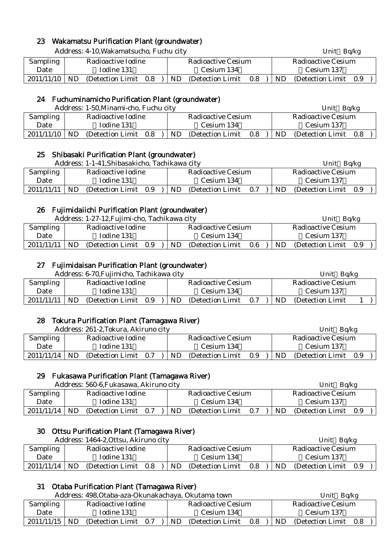# 23 Wakamatsu Purification Plant (groundwater)

|                 | Address: 4-10, Wakamatsucho, Fuchu city |                                    | Unit Bq/kg                      |  |  |  |  |
|-----------------|-----------------------------------------|------------------------------------|---------------------------------|--|--|--|--|
| <b>Sampling</b> | Radioactive Iodine                      | <b>Radioactive Cesium</b>          | Radioactive Cesium              |  |  |  |  |
| Date            | Iodine 131                              | Cesium 134                         | Cesium 137                      |  |  |  |  |
| 2011/11/10      | ND<br>(Detection Limit 0.8)             | (Detection Limit)<br>ND<br>$0.8\,$ | ND.<br>(Detection Limit)<br>0.9 |  |  |  |  |

## 24 Fuchuminamicho Purification Plant (groundwater)

|                 |                    | Address: 1-50, Minami-cho, Fuchu city |     |            |                    |     | Bq/kg<br>Unit      |                   |       |  |  |
|-----------------|--------------------|---------------------------------------|-----|------------|--------------------|-----|--------------------|-------------------|-------|--|--|
| <b>Sampling</b> | Radioactive Iodine |                                       |     |            | Radioactive Cesium |     | Radioactive Cesium |                   |       |  |  |
| Date            |                    | Iodine 131                            |     | Cesium 134 |                    |     |                    | Cesium 137        |       |  |  |
| 2011/11/10      | ND                 | (Detection Limit)                     | 0.8 | ND         | (Detection Limit)  | 0.8 | ND.                | (Detection Limit) | - 0.8 |  |  |

#### 25 Shibasaki Purification Plant (groundwater)

|            | Address: 1-1-41, Shibasakicho, Tachikawa city |                                 | Ba/kg<br>Unit                      |  |  |  |
|------------|-----------------------------------------------|---------------------------------|------------------------------------|--|--|--|
| Sampling   | Radioactive Iodine                            | Radioactive Cesium              | Radioactive Cesium                 |  |  |  |
| Date       | Iodine 131                                    | Cesium 134                      | Cesium 137                         |  |  |  |
| 2011/11/11 | ND<br>(Detection Limit)<br>0.9                | ND.<br>0.7<br>(Detection Limit) | <b>ND</b><br>(Detection Limit 0.9) |  |  |  |

## 26 Fujimidaiichi Purification Plant (groundwater)

|            |                    | Address: 1-27-12, Fujimi-cho, Tachikawa city |  |                    |                   |     |    | Unit                  | Bq/kg |  |  |
|------------|--------------------|----------------------------------------------|--|--------------------|-------------------|-----|----|-----------------------|-------|--|--|
| Sampling   | Radioactive Iodine |                                              |  | Radioactive Cesium |                   |     |    | Radioactive Cesium    |       |  |  |
| Date       |                    | Iodine 131                                   |  | Cesium 134         |                   |     |    | Cesium 137            |       |  |  |
| 2011/11/11 | <b>ND</b>          | (Detection Limit 0.9)                        |  | ND.                | (Detection Limit) | 0.6 | ND | (Detection Limit 0.9) |       |  |  |

#### 27 Fujimidaisan Purification Plant (groundwater)

|                                |    | Address: 6-70, Fujimicho, Tachikawa city |            |                    |                   |     |  |                    | Bq/kg<br>Unit     |  |  |
|--------------------------------|----|------------------------------------------|------------|--------------------|-------------------|-----|--|--------------------|-------------------|--|--|
| Radioactive Iodine<br>Sampling |    |                                          |            | Radioactive Cesium |                   |     |  | Radioactive Cesium |                   |  |  |
| Date                           |    | Iodine 131                               | Cesium 134 |                    |                   |     |  |                    | Cesium 137        |  |  |
| 2011/11/11                     | ND | (Detection Limit)                        | 0.9        | <b>ND</b>          | (Detection Limit) | 0.7 |  | ND                 | (Detection Limit) |  |  |

#### 28 Tokura Purification Plant (Tamagawa River)

|                                |            | Address: 261-2, Tokura, Akiruno city |     |                    |                   |     |    | Bq/kg<br>Unit         |  |  |  |  |
|--------------------------------|------------|--------------------------------------|-----|--------------------|-------------------|-----|----|-----------------------|--|--|--|--|
| Radioactive Iodine<br>Sampling |            |                                      |     | Radioactive Cesium |                   |     |    | Radioactive Cesium    |  |  |  |  |
| Date                           | Iodine 131 |                                      |     |                    | Cesium 134        |     |    | Cesium 137            |  |  |  |  |
| 2011/11/14                     | <b>ND</b>  | (Detection Limit)                    | 0.7 | <b>ND</b>          | (Detection Limit) | 0.9 | ND | (Detection Limit 0.9) |  |  |  |  |

#### 29 Fukasawa Purification Plant (Tamagawa River)

Address: 560-6, Fukasawa, Akiruno city Unit Bq/kg

|            |    | 7 ruul css. 000 '0,1' unusu ma, 7 mm uho chev |            |                    |                    | ◡…<br><b>DUILE</b> |                   |     |  |  |
|------------|----|-----------------------------------------------|------------|--------------------|--------------------|--------------------|-------------------|-----|--|--|
| Sampling   |    | Radioactive Iodine                            |            | Radioactive Cesium | Radioactive Cesium |                    |                   |     |  |  |
| Date       |    | Iodine 131                                    | Cesium 134 |                    |                    |                    | Cesium 137        |     |  |  |
| 2011/11/14 | ND | (Detection Limit 0.7)                         | ND.        | (Detection Limit)  | 0.7                | ND                 | (Detection Limit) | 0.9 |  |  |

# 30 Ottsu Purification Plant (Tamagawa River)

Address: 1464-2,Ottsu, Akiruno city Unit Bq/kg

|            | Address: 1404-2, Ottsu, Akifuno city |                    |     |     |                    |     | UNIU<br>DO/KR      |                   |     |  |  |
|------------|--------------------------------------|--------------------|-----|-----|--------------------|-----|--------------------|-------------------|-----|--|--|
| Sampling   |                                      | Radioactive Iodine |     |     | Radioactive Cesium |     | Radioactive Cesium |                   |     |  |  |
| Date       |                                      | Iodine 131         |     |     | Cesium 134         |     |                    | Cesium 137        |     |  |  |
| 2011/11/14 | ND                                   | (Detection Limit)  | 0.8 | ND. | (Detection Limit)  | 0.8 | ND.                | (Detection Limit) | 0.9 |  |  |

# 31 Otaba Purification Plant (Tamagawa River)

|                                |     | Address: 498, Otaba-aza-Okunakachaya, Okutama town |     |                           |                   |     | Bq/kg<br>Unit |                    |     |  |  |
|--------------------------------|-----|----------------------------------------------------|-----|---------------------------|-------------------|-----|---------------|--------------------|-----|--|--|
| Radioactive Iodine<br>Sampling |     |                                                    |     | <b>Radioactive Cesium</b> |                   |     |               | Radioactive Cesium |     |  |  |
| Date                           |     | Iodine 131<br>Cesium 134                           |     |                           |                   |     |               | Cesium 137         |     |  |  |
| 2011/11/15                     | ND. | (Detection Limit)                                  | 0.7 | <b>ND</b>                 | (Detection Limit) | 0.8 | <b>ND</b>     | (Detection Limit)  | 0.8 |  |  |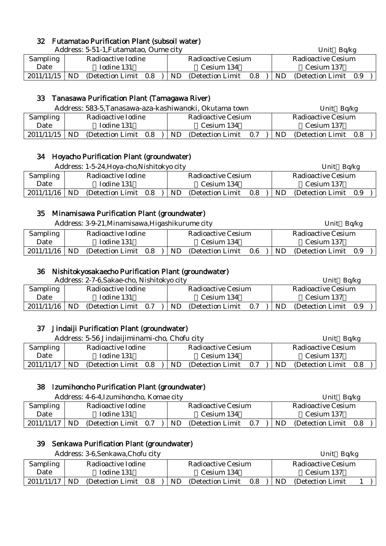# 32 Futamatao Purification Plant (subsoil water)

|                 |                    | Address: 5-51-1, Futamatao, Oume city |  |     |                    |     | Bq/kg<br>Unit      |                       |  |  |  |  |
|-----------------|--------------------|---------------------------------------|--|-----|--------------------|-----|--------------------|-----------------------|--|--|--|--|
| Sampling        | Radioactive Iodine |                                       |  |     | Radioactive Cesium |     | Radioactive Cesium |                       |  |  |  |  |
| Date            |                    | Iodine 131<br>Cesium 134              |  |     |                    |     |                    | Cesium 137            |  |  |  |  |
| $2011/11/15$ ND |                    | (Detection Limit 0.8)                 |  | ND. | (Detection Limit)  | 0.8 | ND.                | (Detection Limit 0.9) |  |  |  |  |

# 33 Tanasawa Purification Plant (Tamagawa River)

|                                |            |                   |     |                    | Address: 583-5, Tanasawa-aza-kashiwanoki, Okutama town |     | Ba/kg<br>Unit |                       |  |  |  |
|--------------------------------|------------|-------------------|-----|--------------------|--------------------------------------------------------|-----|---------------|-----------------------|--|--|--|
| Radioactive Iodine<br>Sampling |            |                   |     | Radioactive Cesium |                                                        |     |               | Radioactive Cesium    |  |  |  |
| Date                           | Iodine 131 |                   |     |                    | Cesium 134                                             |     |               | Cesium 137            |  |  |  |
| 2011/11/15                     | ND         | (Detection Limit) | 0.8 | ND.                | (Detection Limit)                                      | 0.7 | ND.           | (Detection Limit 0.8) |  |  |  |

#### 34 Hoyacho Purification Plant (groundwater)

|                                | Address: 1-5-24, Hoya-cho, Nishitokyo city |                   |     |  |                    |                   |     |  | Bq/kg<br>Unit      |                   |     |  |
|--------------------------------|--------------------------------------------|-------------------|-----|--|--------------------|-------------------|-----|--|--------------------|-------------------|-----|--|
| Radioactive Iodine<br>Sampling |                                            |                   |     |  | Radioactive Cesium |                   |     |  | Radioactive Cesium |                   |     |  |
| Date                           | Todine 131                                 |                   |     |  | Cesium 134         |                   |     |  |                    | Cesium 137        |     |  |
| 2011/11/16                     | <b>ND</b>                                  | (Detection Limit) | 0.8 |  | ND.                | (Detection Limit) | 0.8 |  | ND.                | (Detection Limit) | 0.9 |  |

# 35 Minamisawa Purification Plant (groundwater)

|            |     | Address: 3-9-21, Minamisawa, Higashikurume city |     |  |     | Unit Bq/kg         |     |     |                    |     |  |  |            |  |
|------------|-----|-------------------------------------------------|-----|--|-----|--------------------|-----|-----|--------------------|-----|--|--|------------|--|
| Sampling   |     | Radioactive Iodine                              |     |  |     | Radioactive Cesium |     |     | Radioactive Cesium |     |  |  |            |  |
| Date       |     | Iodine 131                                      |     |  |     | Cesium 134         |     |     |                    |     |  |  | Cesium 137 |  |
| 2011/11/16 | ND. | (Detection Limit)                               | 0.8 |  | ND. | (Detection Limit)  | 0.6 | ND. | (Detection Limit)  | 0.9 |  |  |            |  |

## 36 Nishitokyosakaecho Purification Plant (groundwater)

| Address: 2-7-6, Sakae-cho, Nishitokyo city |            |                   |     |  |    |                           |     |    | Unit               | Bq/kg |
|--------------------------------------------|------------|-------------------|-----|--|----|---------------------------|-----|----|--------------------|-------|
| <b>Sampling</b><br>Radioactive Iodine      |            |                   |     |  |    | <b>Radioactive Cesium</b> |     |    | Radioactive Cesium |       |
| Date                                       | Iodine 131 |                   |     |  |    | Cesium 134                |     |    | Cesium 137         |       |
| 2011/11/16                                 | <b>ND</b>  | (Detection Limit) | 0.7 |  | ND | (Detection Limit)         | 0.7 | ND | (Detection Limit)  | 0.9   |

# 37 Jindaiji Purification Plant (groundwater)

|                 | Address: 5-56 Jindaijiminami-cho, Chofu city |                                 | Ba/kg<br>Unit                  |
|-----------------|----------------------------------------------|---------------------------------|--------------------------------|
| <b>Sampling</b> | Radioactive Iodine                           | Radioactive Cesium              | Radioactive Cesium             |
| Date            | Iodine 131                                   | Cesium 134                      | Cesium 137                     |
| 2011/11/17      | ND.<br>(Detection Limit)<br>0.8              | ND.<br>(Detection Limit)<br>0.7 | ND<br>(Detection Limit)<br>0.8 |

# 38 Izumihoncho Purification Plant (groundwater)

|                                |    | Address: 4-6-4, Izumihoncho, Komae city |     |    |                           |     |    | Unit               | Bq/kg |
|--------------------------------|----|-----------------------------------------|-----|----|---------------------------|-----|----|--------------------|-------|
| Radioactive Iodine<br>Sampling |    |                                         |     |    | <b>Radioactive Cesium</b> |     |    | Radioactive Cesium |       |
| Date                           |    | Iodine 131                              |     |    | Cesium 134                |     |    | Cesium 137         |       |
| 2011/11/17                     | ND | (Detection Limit)                       | 0.7 | ND | (Detection Limit)         | 0.7 | ND | (Detection Limit)  | 0.8   |

# 39 Senkawa Purification Plant (groundwater)

| Address: 3-6, Senkawa, Chofu city     |            |                   |     |  |    |                    |     |     | Unit $Bq/kg$       |  |
|---------------------------------------|------------|-------------------|-----|--|----|--------------------|-----|-----|--------------------|--|
| Radioactive Iodine<br><b>Sampling</b> |            |                   |     |  |    | Radioactive Cesium |     |     | Radioactive Cesium |  |
| Date                                  | Iodine 131 |                   |     |  |    | Cesium 134         |     |     | Cesium 137         |  |
| 2011/11/17                            | ND         | (Detection Limit) | 0.8 |  | ND | (Detection Limit)  | 0.8 | ND. | (Detection Limit)  |  |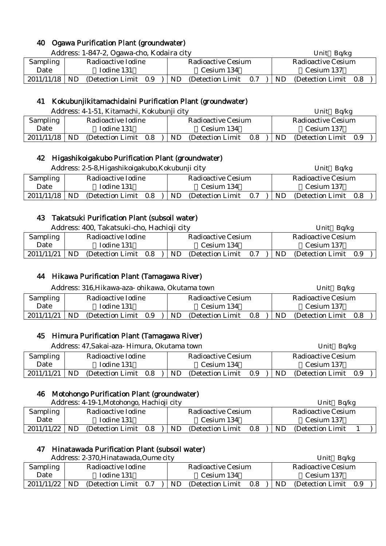# 40 Ogawa Purification Plant (groundwater)

Address: 1-847-2, Ogawa-cho, Kodaira city Unit Bq/kg

| Sampling        | Radioactive Iodine |  | Radioactive Cesium                                                               |  | Radioactive Cesium |  |
|-----------------|--------------------|--|----------------------------------------------------------------------------------|--|--------------------|--|
| Date            | Iodine 131         |  | Cesium 134                                                                       |  | Cesium 137         |  |
| $2011/11/18$ ND |                    |  | (Detection Limit $0.9$ )   ND (Detection Limit $0.7$ )   ND (Detection Limit 0.8 |  |                    |  |

# 41 Kokubunjikitamachidaini Purification Plant (groundwater)

Address: 4-1-51, Kitamachi, Kokubunji city Unit Balkg

|                 |            |                       |  |     |                    |     | ິ<br>----- |                    |     |  |  |  |
|-----------------|------------|-----------------------|--|-----|--------------------|-----|------------|--------------------|-----|--|--|--|
| <b>Sampling</b> |            | Radioactive Iodine    |  |     | Radioactive Cesium |     |            | Radioactive Cesium |     |  |  |  |
| Date            | Iodine 131 |                       |  |     | Cesium 134         |     |            | Cesium 137         |     |  |  |  |
| 2011/11/18      | ND.        | (Detection Limit 0.8) |  | ND. | (Detection Limit)  | 0.8 | ND         | (Detection Limit)  | 0.9 |  |  |  |

# 42 Higashikoigakubo Purification Plant (groundwater)

|            |            | Address: 2-5-8, Higashikoigakubo, Kokubunji city |     |  |     |                    |     |     | Unit Bq/kg         |     |  |
|------------|------------|--------------------------------------------------|-----|--|-----|--------------------|-----|-----|--------------------|-----|--|
| Sampling   |            | Radioactive Iodine                               |     |  |     | Radioactive Cesium |     |     | Radioactive Cesium |     |  |
| Date       | Iodine 131 |                                                  |     |  |     | Cesium 134         |     |     | Cesium 137         |     |  |
| 2011/11/18 | <b>ND</b>  | (Detection Limit)                                | 0.8 |  | ND. | (Detection Limit)  | 0.7 | ND. | (Detection Limit)  | 0.8 |  |

## 43 Takatsuki Purification Plant (subsoil water)

Address: 400, Takatsuki-cho, Hachioji city Unit Bq/kg

|                 |           | Tradition. Too. Tanatsuni tho, Flatilioji tity |    |                    |     | <b>UIII</b><br><b>DUINE</b> |                       |  |  |  |
|-----------------|-----------|------------------------------------------------|----|--------------------|-----|-----------------------------|-----------------------|--|--|--|
| <b>Sampling</b> |           | Radioactive Iodine                             |    | Radioactive Cesium |     | Radioactive Cesium          |                       |  |  |  |
| Date            |           | Iodine 131                                     |    | Cesium 134         |     |                             | Cesium 137            |  |  |  |
| 2011/11/21      | <b>ND</b> | (Detection Limit 0.8)                          | ND | (Detection Limit)  | 0.7 | ND                          | (Detection Limit 0.9) |  |  |  |

# 44 Hikawa Purification Plant (Tamagawa River)

|                                              | Address: 316, Hikawa-aza- ohikawa, Okutama town |            |  |  |     |                           |     |  |     | Unit $Bq/kg$              |     |  |
|----------------------------------------------|-------------------------------------------------|------------|--|--|-----|---------------------------|-----|--|-----|---------------------------|-----|--|
| Sampling<br>Radioactive Iodine               |                                                 |            |  |  |     | <b>Radioactive Cesium</b> |     |  |     | <b>Radioactive Cesium</b> |     |  |
| Date                                         |                                                 | Iodine 131 |  |  |     | Cesium 134                |     |  |     | Cesium 137                |     |  |
| 2011/11/21<br>ND<br>(Detection Limit)<br>0.9 |                                                 |            |  |  | ND. | (Detection Limit)         | 0.8 |  | ND. | (Detection Limit)         | 0.8 |  |

#### 45 Himura Purification Plant (Tamagawa River)

|                                               |            | Address: 47, Sakai-aza - Himura, Okutama town |  |  |           |                    | Unit $Bq/kg$ |     |                           |     |  |
|-----------------------------------------------|------------|-----------------------------------------------|--|--|-----------|--------------------|--------------|-----|---------------------------|-----|--|
| <b>Sampling</b><br>Radioactive Iodine         |            |                                               |  |  |           | Radioactive Cesium |              |     | <b>Radioactive Cesium</b> |     |  |
| Date                                          | Iodine 131 |                                               |  |  |           | Cesium 134         |              |     | Cesium 137                |     |  |
| 2011/11/21<br>ND.<br>(Detection Limit)<br>0.8 |            |                                               |  |  | <b>ND</b> | (Detection Limit)  | 0.9          | ND. | (Detection Limit)         | 0.9 |  |

### 46 Motohongo Purification Plant (groundwater)

| Address: 4-19-1, Motohongo, Hachioji city |                    |                       |  |           |                    |     |     | Ba/kg<br>Unit      |  |
|-------------------------------------------|--------------------|-----------------------|--|-----------|--------------------|-----|-----|--------------------|--|
| Sampling                                  | Radioactive Iodine |                       |  |           | Radioactive Cesium |     |     | Radioactive Cesium |  |
| Date                                      |                    | Iodine 131            |  |           | Cesium 134         |     |     | Cesium 137         |  |
| 2011/11/22                                | ND.                | (Detection Limit 0.8) |  | <b>ND</b> | (Detection Limit)  | 0.8 | ND. | (Detection Limit)  |  |

# 47 Hinatawada Purification Plant (subsoil water)

|            |                    | Address: 2-370, Hinatawada, Oume city |     |                    |     |     | Bq/kg<br>Unit         |  |
|------------|--------------------|---------------------------------------|-----|--------------------|-----|-----|-----------------------|--|
| Sampling   | Radioactive Iodine |                                       |     | Radioactive Cesium |     |     | Radioactive Cesium    |  |
| Date       |                    | Iodine 131                            |     | Cesium 134         |     |     | Cesium 137            |  |
| 2011/11/22 | ND.                | (Detection Limit 0.7)                 | ND. | (Detection Limit)  | 0.8 | ND. | (Detection Limit 0.9) |  |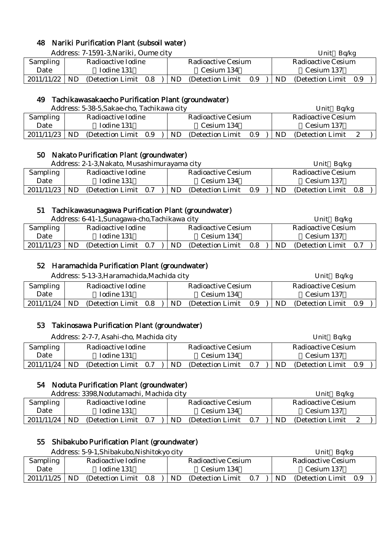# 48 Nariki Purification Plant (subsoil water)

Address: 7-1591-3, Nariki, Oume city Unit Bq/kg

| Sampling<br>Date |     | Radioactive Iodine<br>Iodine 131 |     | Radioactive Cesium<br>Cesium 134 |     |     | Radioactive Cesium<br>Cesium 137 |     |  |
|------------------|-----|----------------------------------|-----|----------------------------------|-----|-----|----------------------------------|-----|--|
|                  |     |                                  |     |                                  |     |     |                                  |     |  |
| 2011/11/22       | ND. | (Detection Limit 0.8)            | ND. | (Detection Limit)                | 0.9 | ND. | (Detection Limit)                | 0.9 |  |

#### 49 Tachikawasakaecho Purification Plant (groundwater)

|            |                                          | Address: 5-38-5, Sakae-cho, Tachikawa city |     |            |                   |     |  |    | Ba/kg<br>Unit      |  |
|------------|------------------------------------------|--------------------------------------------|-----|------------|-------------------|-----|--|----|--------------------|--|
| Sampling   | Radioactive Iodine<br>Radioactive Cesium |                                            |     |            |                   |     |  |    | Radioactive Cesium |  |
| Date       | Iodine 131                               |                                            |     | Cesium 134 |                   |     |  |    | Cesium 137         |  |
| 2011/11/23 | ND                                       | (Detection Limit)                          | 0.9 | ND.        | (Detection Limit) | 0.9 |  | ND | (Detection Limit)  |  |

#### 50 Nakato Purification Plant (groundwater)

|            |                    | Address: 2-1-3, Nakato, Musashimurayama city |  |            |                           |     |    | Ba/kg<br>Unit         |  |
|------------|--------------------|----------------------------------------------|--|------------|---------------------------|-----|----|-----------------------|--|
| Sampling   | Radioactive Iodine |                                              |  |            | <b>Radioactive Cesium</b> |     |    | Radioactive Cesium    |  |
| Date       | Iodine 131         |                                              |  | Cesium 134 |                           |     |    | Cesium 137            |  |
| 2011/11/23 | ND.                | (Detection Limit 0.7)                        |  | ND.        | (Detection Limit)         | 0.9 | ND | (Detection Limit 0.8) |  |

#### 51 Tachikawasunagawa Purification Plant (groundwater)

|                                                      |            | Address: 6-41-1, Sunagawa-cho, Tachikawa city |     |     |                   |     |            | Unit<br>Ba/kg            |  |
|------------------------------------------------------|------------|-----------------------------------------------|-----|-----|-------------------|-----|------------|--------------------------|--|
| Sampling<br>Radioactive Iodine<br>Radioactive Cesium |            |                                               |     |     |                   |     |            | Radioactive Cesium       |  |
| Date                                                 | Iodine 131 |                                               |     |     | Cesium 134        |     | Cesium 137 |                          |  |
| 2011/11/23                                           | <b>ND</b>  | (Detection Limit)                             | 0.7 | ND. | (Detection Limit) | 0.8 | ND         | (Detection Limit)<br>0.7 |  |

# 52 Haramachida Purification Plant (groundwater)

|            |                    | Address: 5-13-3, Haramachida, Machida city |  |     |                           |     |                           | Unit $Bq/kg$          |  |
|------------|--------------------|--------------------------------------------|--|-----|---------------------------|-----|---------------------------|-----------------------|--|
| Sampling   | Radioactive Iodine |                                            |  |     | <b>Radioactive Cesium</b> |     | <b>Radioactive Cesium</b> |                       |  |
| Date       |                    | Iodine 131                                 |  |     | Cesium 134                |     |                           | Cesium 137            |  |
| 2011/11/24 | ND.                | (Detection Limit 0.8)                      |  | ND. | (Detection Limit)         | 0.9 | ND.                       | (Detection Limit 0.9) |  |

# 53 Takinosawa Purification Plant (groundwater)

|            |     | Address: 2-7-7, Asahi-cho, Machida city |  |     |                    |     |     | Unit $Bq/kg$          |  |
|------------|-----|-----------------------------------------|--|-----|--------------------|-----|-----|-----------------------|--|
| Sampling   |     | Radioactive Iodine                      |  |     | Radioactive Cesium |     |     | Radioactive Cesium    |  |
| Date       |     | Iodine 131                              |  |     | Cesium 134         |     |     | Cesium 137            |  |
| 2011/11/24 | ND. | (Detection Limit 0.7)                   |  | ND. | (Detection Limit)  | 0.7 | ND. | (Detection Limit 0.9) |  |

# 54 Noduta Purification Plant (groundwater)

|                 |           | Address: 3398, Nodutamachi, Machida city |     |           |                    |     |     | Ba/kg<br>Unit      |  |
|-----------------|-----------|------------------------------------------|-----|-----------|--------------------|-----|-----|--------------------|--|
| <b>Sampling</b> |           | Radioactive Iodine                       |     |           | Radioactive Cesium |     |     | Radioactive Cesium |  |
| Date            |           | Iodine 131                               |     |           | Cesium 134         |     |     | Cesium 137         |  |
| 2011/11/24      | <b>ND</b> | (Detection Limit)                        | 0.7 | <b>ND</b> | (Detection Limit)  | 0.7 | ND. | (Detection Limit)  |  |

# 55 Shibakubo Purification Plant (groundwater)

Address: 5-9-1,Shibakubo,Nishitokyo city Unit Bq/kg

|                 | Tradi CSS. O O T.DHIDURUDO,I TISHIROR YO CILY<br>Radioactive Iodine |                   |     |           |                    |     | <b>UILL</b><br><b>DUILE</b> |                    |     |  |  |  |
|-----------------|---------------------------------------------------------------------|-------------------|-----|-----------|--------------------|-----|-----------------------------|--------------------|-----|--|--|--|
| <b>Sampling</b> |                                                                     |                   |     |           | Radioactive Cesium |     |                             | Radioactive Cesium |     |  |  |  |
| Date            |                                                                     | Iodine 131        |     |           | Cesium 134         |     |                             | Cesium 137         |     |  |  |  |
| 2011/11/25      | <b>ND</b>                                                           | (Detection Limit) | 0.8 | <b>ND</b> | (Detection Limit)  | 0.7 | ND                          | (Detection Limit)  | 0.9 |  |  |  |